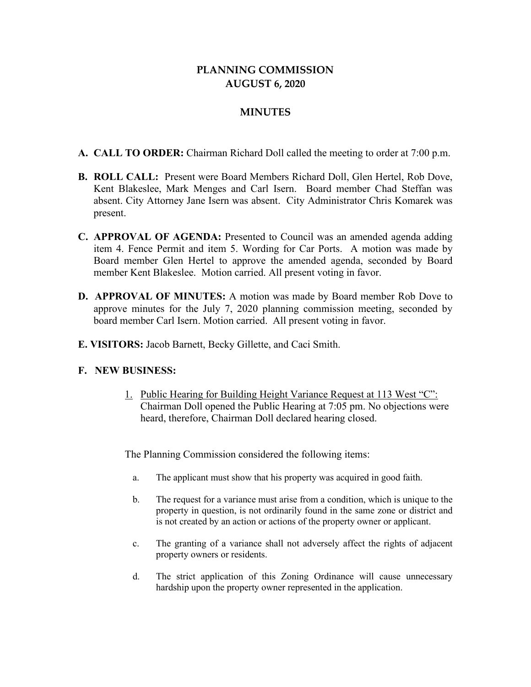## **PLANNING COMMISSION AUGUST 6, 2020**

## **MINUTES**

- **A. CALL TO ORDER:** Chairman Richard Doll called the meeting to order at 7:00 p.m.
- **B. ROLL CALL:** Present were Board Members Richard Doll, Glen Hertel, Rob Dove, Kent Blakeslee, Mark Menges and Carl Isern. Board member Chad Steffan was absent. City Attorney Jane Isern was absent. City Administrator Chris Komarek was present.
- **C. APPROVAL OF AGENDA:** Presented to Council was an amended agenda adding item 4. Fence Permit and item 5. Wording for Car Ports. A motion was made by Board member Glen Hertel to approve the amended agenda, seconded by Board member Kent Blakeslee. Motion carried. All present voting in favor.
- **D. APPROVAL OF MINUTES:** A motion was made by Board member Rob Dove to approve minutes for the July 7, 2020 planning commission meeting, seconded by board member Carl Isern. Motion carried. All present voting in favor.
- **E. VISITORS:** Jacob Barnett, Becky Gillette, and Caci Smith.

## **F. NEW BUSINESS:**

1. Public Hearing for Building Height Variance Request at 113 West "C": Chairman Doll opened the Public Hearing at 7:05 pm. No objections were heard, therefore, Chairman Doll declared hearing closed.

The Planning Commission considered the following items:

- a. The applicant must show that his property was acquired in good faith.
- b. The request for a variance must arise from a condition, which is unique to the property in question, is not ordinarily found in the same zone or district and is not created by an action or actions of the property owner or applicant.
- c. The granting of a variance shall not adversely affect the rights of adjacent property owners or residents.
- d. The strict application of this Zoning Ordinance will cause unnecessary hardship upon the property owner represented in the application.